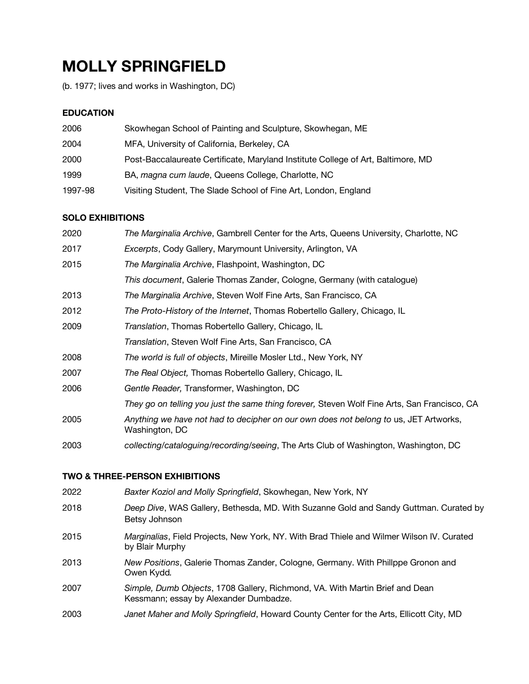# **MOLLY SPRINGFIELD**

(b. 1977; lives and works in Washington, DC)

# **EDUCATION**

| 2006    | Skowhegan School of Painting and Sculpture, Skowhegan, ME                        |
|---------|----------------------------------------------------------------------------------|
| 2004    | MFA, University of California, Berkeley, CA                                      |
| 2000    | Post-Baccalaureate Certificate, Maryland Institute College of Art, Baltimore, MD |
| 1999    | BA, magna cum laude, Queens College, Charlotte, NC                               |
| 1997-98 | Visiting Student, The Slade School of Fine Art, London, England                  |

# **SOLO EXHIBITIONS**

| 2020 | The Marginalia Archive, Gambrell Center for the Arts, Queens University, Charlotte, NC                 |
|------|--------------------------------------------------------------------------------------------------------|
| 2017 | <i>Excerpts, Cody Gallery, Marymount University, Arlington, VA</i>                                     |
| 2015 | The Marginalia Archive, Flashpoint, Washington, DC                                                     |
|      | This document, Galerie Thomas Zander, Cologne, Germany (with catalogue)                                |
| 2013 | The Marginalia Archive, Steven Wolf Fine Arts, San Francisco, CA                                       |
| 2012 | The Proto-History of the Internet, Thomas Robertello Gallery, Chicago, IL                              |
| 2009 | Translation, Thomas Robertello Gallery, Chicago, IL                                                    |
|      | Translation, Steven Wolf Fine Arts, San Francisco, CA                                                  |
| 2008 | The world is full of objects, Mireille Mosler Ltd., New York, NY                                       |
| 2007 | The Real Object, Thomas Robertello Gallery, Chicago, IL                                                |
| 2006 | Gentle Reader, Transformer, Washington, DC                                                             |
|      | They go on telling you just the same thing forever, Steven Wolf Fine Arts, San Francisco, CA           |
| 2005 | Anything we have not had to decipher on our own does not belong to us, JET Artworks,<br>Washington, DC |
| 2003 | collecting/cataloguing/recording/seeing, The Arts Club of Washington, Washington, DC                   |

# **TWO & THREE-PERSON EXHIBITIONS**

| 2022 | Baxter Koziol and Molly Springfield, Skowhegan, New York, NY                                                           |
|------|------------------------------------------------------------------------------------------------------------------------|
| 2018 | Deep Dive, WAS Gallery, Bethesda, MD. With Suzanne Gold and Sandy Guttman. Curated by<br>Betsy Johnson                 |
| 2015 | Marginalias, Field Projects, New York, NY. With Brad Thiele and Wilmer Wilson IV. Curated<br>by Blair Murphy           |
| 2013 | New Positions, Galerie Thomas Zander, Cologne, Germany. With Phillppe Gronon and<br>Owen Kydd.                         |
| 2007 | Simple, Dumb Objects, 1708 Gallery, Richmond, VA. With Martin Brief and Dean<br>Kessmann; essay by Alexander Dumbadze. |
| 2003 | Janet Maher and Molly Springfield, Howard County Center for the Arts, Ellicott City, MD                                |
|      |                                                                                                                        |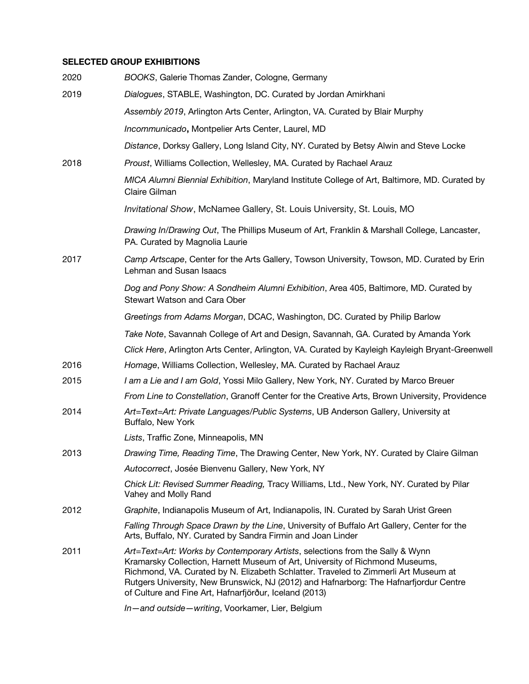## **SELECTED GROUP EXHIBITIONS**

| 2020 | BOOKS, Galerie Thomas Zander, Cologne, Germany                                                                                                                                                                                                                                                                                                                                                          |
|------|---------------------------------------------------------------------------------------------------------------------------------------------------------------------------------------------------------------------------------------------------------------------------------------------------------------------------------------------------------------------------------------------------------|
| 2019 | Dialogues, STABLE, Washington, DC. Curated by Jordan Amirkhani                                                                                                                                                                                                                                                                                                                                          |
|      | Assembly 2019, Arlington Arts Center, Arlington, VA. Curated by Blair Murphy                                                                                                                                                                                                                                                                                                                            |
|      | Incommunicado, Montpelier Arts Center, Laurel, MD                                                                                                                                                                                                                                                                                                                                                       |
|      | Distance, Dorksy Gallery, Long Island City, NY. Curated by Betsy Alwin and Steve Locke                                                                                                                                                                                                                                                                                                                  |
| 2018 | Proust, Williams Collection, Wellesley, MA. Curated by Rachael Arauz                                                                                                                                                                                                                                                                                                                                    |
|      | MICA Alumni Biennial Exhibition, Maryland Institute College of Art, Baltimore, MD. Curated by<br>Claire Gilman                                                                                                                                                                                                                                                                                          |
|      | Invitational Show, McNamee Gallery, St. Louis University, St. Louis, MO                                                                                                                                                                                                                                                                                                                                 |
|      | Drawing In/Drawing Out, The Phillips Museum of Art, Franklin & Marshall College, Lancaster,<br>PA. Curated by Magnolia Laurie                                                                                                                                                                                                                                                                           |
| 2017 | Camp Artscape, Center for the Arts Gallery, Towson University, Towson, MD. Curated by Erin<br>Lehman and Susan Isaacs                                                                                                                                                                                                                                                                                   |
|      | Dog and Pony Show: A Sondheim Alumni Exhibition, Area 405, Baltimore, MD. Curated by<br>Stewart Watson and Cara Ober                                                                                                                                                                                                                                                                                    |
|      | Greetings from Adams Morgan, DCAC, Washington, DC. Curated by Philip Barlow                                                                                                                                                                                                                                                                                                                             |
|      | Take Note, Savannah College of Art and Design, Savannah, GA. Curated by Amanda York                                                                                                                                                                                                                                                                                                                     |
|      | Click Here, Arlington Arts Center, Arlington, VA. Curated by Kayleigh Kayleigh Bryant-Greenwell                                                                                                                                                                                                                                                                                                         |
| 2016 | Homage, Williams Collection, Wellesley, MA. Curated by Rachael Arauz                                                                                                                                                                                                                                                                                                                                    |
| 2015 | I am a Lie and I am Gold, Yossi Milo Gallery, New York, NY. Curated by Marco Breuer                                                                                                                                                                                                                                                                                                                     |
|      | From Line to Constellation, Granoff Center for the Creative Arts, Brown University, Providence                                                                                                                                                                                                                                                                                                          |
| 2014 | Art=Text=Art: Private Languages/Public Systems, UB Anderson Gallery, University at<br>Buffalo, New York                                                                                                                                                                                                                                                                                                 |
|      | Lists, Traffic Zone, Minneapolis, MN                                                                                                                                                                                                                                                                                                                                                                    |
| 2013 | Drawing Time, Reading Time, The Drawing Center, New York, NY. Curated by Claire Gilman                                                                                                                                                                                                                                                                                                                  |
|      | Autocorrect, Josée Bienvenu Gallery, New York, NY                                                                                                                                                                                                                                                                                                                                                       |
|      | Chick Lit: Revised Summer Reading, Tracy Williams, Ltd., New York, NY. Curated by Pilar<br>Vahey and Molly Rand                                                                                                                                                                                                                                                                                         |
| 2012 | Graphite, Indianapolis Museum of Art, Indianapolis, IN. Curated by Sarah Urist Green                                                                                                                                                                                                                                                                                                                    |
|      | Falling Through Space Drawn by the Line, University of Buffalo Art Gallery, Center for the<br>Arts, Buffalo, NY. Curated by Sandra Firmin and Joan Linder                                                                                                                                                                                                                                               |
| 2011 | Art=Text=Art: Works by Contemporary Artists, selections from the Sally & Wynn<br>Kramarsky Collection, Harnett Museum of Art, University of Richmond Museums,<br>Richmond, VA. Curated by N. Elizabeth Schlatter. Traveled to Zimmerli Art Museum at<br>Rutgers University, New Brunswick, NJ (2012) and Hafnarborg: The Hafnarfjordur Centre<br>of Culture and Fine Art, Hafnarfjörður, Iceland (2013) |
|      | In-and outside-writing, Voorkamer, Lier, Belgium                                                                                                                                                                                                                                                                                                                                                        |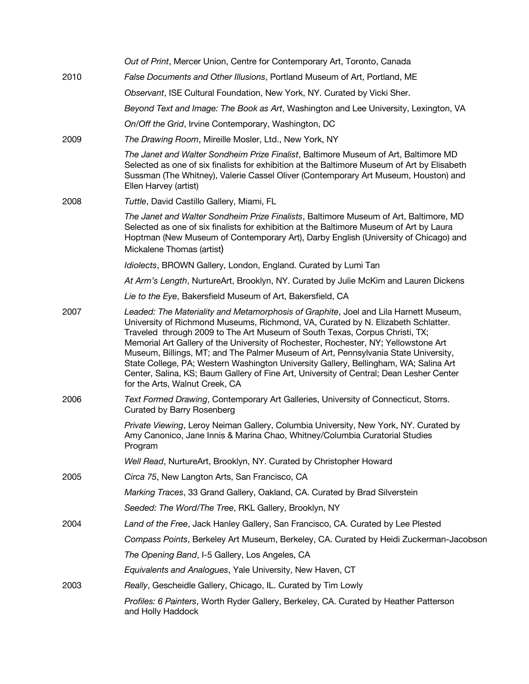|      | Out of Print, Mercer Union, Centre for Contemporary Art, Toronto, Canada                                                                                                                                                                                                                                                                                                                                                                                                                                                                                                                                                                                  |
|------|-----------------------------------------------------------------------------------------------------------------------------------------------------------------------------------------------------------------------------------------------------------------------------------------------------------------------------------------------------------------------------------------------------------------------------------------------------------------------------------------------------------------------------------------------------------------------------------------------------------------------------------------------------------|
| 2010 | False Documents and Other Illusions, Portland Museum of Art, Portland, ME                                                                                                                                                                                                                                                                                                                                                                                                                                                                                                                                                                                 |
|      | Observant, ISE Cultural Foundation, New York, NY. Curated by Vicki Sher.                                                                                                                                                                                                                                                                                                                                                                                                                                                                                                                                                                                  |
|      | Beyond Text and Image: The Book as Art, Washington and Lee University, Lexington, VA                                                                                                                                                                                                                                                                                                                                                                                                                                                                                                                                                                      |
|      | On/Off the Grid, Irvine Contemporary, Washington, DC                                                                                                                                                                                                                                                                                                                                                                                                                                                                                                                                                                                                      |
| 2009 | The Drawing Room, Mireille Mosler, Ltd., New York, NY                                                                                                                                                                                                                                                                                                                                                                                                                                                                                                                                                                                                     |
|      | The Janet and Walter Sondheim Prize Finalist, Baltimore Museum of Art, Baltimore MD<br>Selected as one of six finalists for exhibition at the Baltimore Museum of Art by Elisabeth<br>Sussman (The Whitney), Valerie Cassel Oliver (Contemporary Art Museum, Houston) and<br>Ellen Harvey (artist)                                                                                                                                                                                                                                                                                                                                                        |
| 2008 | Tuttle, David Castillo Gallery, Miami, FL                                                                                                                                                                                                                                                                                                                                                                                                                                                                                                                                                                                                                 |
|      | The Janet and Walter Sondheim Prize Finalists, Baltimore Museum of Art, Baltimore, MD<br>Selected as one of six finalists for exhibition at the Baltimore Museum of Art by Laura<br>Hoptman (New Museum of Contemporary Art), Darby English (University of Chicago) and<br>Mickalene Thomas (artist)                                                                                                                                                                                                                                                                                                                                                      |
|      | Idiolects, BROWN Gallery, London, England. Curated by Lumi Tan                                                                                                                                                                                                                                                                                                                                                                                                                                                                                                                                                                                            |
|      | At Arm's Length, NurtureArt, Brooklyn, NY. Curated by Julie McKim and Lauren Dickens                                                                                                                                                                                                                                                                                                                                                                                                                                                                                                                                                                      |
|      | Lie to the Eye, Bakersfield Museum of Art, Bakersfield, CA                                                                                                                                                                                                                                                                                                                                                                                                                                                                                                                                                                                                |
| 2007 | Leaded: The Materiality and Metamorphosis of Graphite, Joel and Lila Harnett Museum,<br>University of Richmond Museums, Richmond, VA, Curated by N. Elizabeth Schlatter.<br>Traveled through 2009 to The Art Museum of South Texas, Corpus Christi, TX;<br>Memorial Art Gallery of the University of Rochester, Rochester, NY; Yellowstone Art<br>Museum, Billings, MT; and The Palmer Museum of Art, Pennsylvania State University,<br>State College, PA; Western Washington University Gallery, Bellingham, WA; Salina Art<br>Center, Salina, KS; Baum Gallery of Fine Art, University of Central; Dean Lesher Center<br>for the Arts, Walnut Creek, CA |
| 2006 | Text Formed Drawing, Contemporary Art Galleries, University of Connecticut, Storrs.<br>Curated by Barry Rosenberg                                                                                                                                                                                                                                                                                                                                                                                                                                                                                                                                         |
|      | Private Viewing, Leroy Neiman Gallery, Columbia University, New York, NY. Curated by<br>Amy Canonico, Jane Innis & Marina Chao, Whitney/Columbia Curatorial Studies<br>Program                                                                                                                                                                                                                                                                                                                                                                                                                                                                            |
|      | Well Read, NurtureArt, Brooklyn, NY. Curated by Christopher Howard                                                                                                                                                                                                                                                                                                                                                                                                                                                                                                                                                                                        |
| 2005 | Circa 75, New Langton Arts, San Francisco, CA                                                                                                                                                                                                                                                                                                                                                                                                                                                                                                                                                                                                             |
|      | Marking Traces, 33 Grand Gallery, Oakland, CA. Curated by Brad Silverstein                                                                                                                                                                                                                                                                                                                                                                                                                                                                                                                                                                                |
|      | Seeded: The Word/The Tree, RKL Gallery, Brooklyn, NY                                                                                                                                                                                                                                                                                                                                                                                                                                                                                                                                                                                                      |
| 2004 | Land of the Free, Jack Hanley Gallery, San Francisco, CA. Curated by Lee Plested                                                                                                                                                                                                                                                                                                                                                                                                                                                                                                                                                                          |
|      | Compass Points, Berkeley Art Museum, Berkeley, CA. Curated by Heidi Zuckerman-Jacobson                                                                                                                                                                                                                                                                                                                                                                                                                                                                                                                                                                    |
|      | The Opening Band, I-5 Gallery, Los Angeles, CA                                                                                                                                                                                                                                                                                                                                                                                                                                                                                                                                                                                                            |
|      | Equivalents and Analogues, Yale University, New Haven, CT                                                                                                                                                                                                                                                                                                                                                                                                                                                                                                                                                                                                 |
| 2003 | Really, Gescheidle Gallery, Chicago, IL. Curated by Tim Lowly                                                                                                                                                                                                                                                                                                                                                                                                                                                                                                                                                                                             |
|      | Profiles: 6 Painters, Worth Ryder Gallery, Berkeley, CA. Curated by Heather Patterson<br>and Holly Haddock                                                                                                                                                                                                                                                                                                                                                                                                                                                                                                                                                |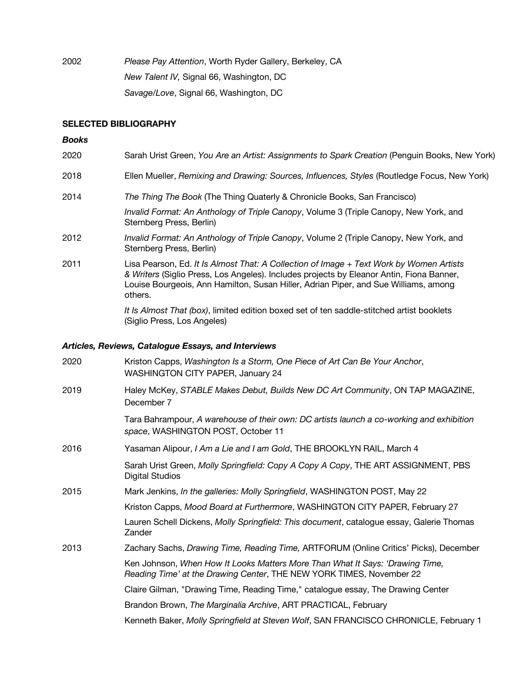2002 *Please Pay Attention*, Worth Ryder Gallery, Berkeley, CA *New Talent IV,* Signal 66, Washington, DC *Savage/Love*, Signal 66, Washington, DC

## **SELECTED BIBLIOGRAPHY**

#### *Books*

| 2020 | Sarah Urist Green, You Are an Artist: Assignments to Spark Creation (Penguin Books, New York)                                                                                                                                                                                         |
|------|---------------------------------------------------------------------------------------------------------------------------------------------------------------------------------------------------------------------------------------------------------------------------------------|
| 2018 | Ellen Mueller, Remixing and Drawing: Sources, Influences, Styles (Routledge Focus, New York)                                                                                                                                                                                          |
| 2014 | The Thing The Book (The Thing Quaterly & Chronicle Books, San Francisco)                                                                                                                                                                                                              |
|      | Invalid Format: An Anthology of Triple Canopy, Volume 3 (Triple Canopy, New York, and<br>Sternberg Press, Berlin)                                                                                                                                                                     |
| 2012 | Invalid Format: An Anthology of Triple Canopy, Volume 2 (Triple Canopy, New York, and<br>Sternberg Press, Berlin)                                                                                                                                                                     |
| 2011 | Lisa Pearson, Ed. It Is Almost That: A Collection of Image + Text Work by Women Artists<br>& Writers (Siglio Press, Los Angeles). Includes projects by Eleanor Antin, Fiona Banner,<br>Louise Bourgeois, Ann Hamilton, Susan Hiller, Adrian Piper, and Sue Williams, among<br>others. |
|      | It Is Almost That (box), limited edition boxed set of ten saddle-stitched artist booklets<br>(Siglio Press, Los Angeles)                                                                                                                                                              |

#### *Articles, Reviews, Catalogue Essays, and Interviews*

| Kriston Capps, Washington Is a Storm, One Piece of Art Can Be Your Anchor,<br><b>WASHINGTON CITY PAPER, January 24</b>                                |
|-------------------------------------------------------------------------------------------------------------------------------------------------------|
| Haley McKey, STABLE Makes Debut, Builds New DC Art Community, ON TAP MAGAZINE,<br>December 7                                                          |
| Tara Bahrampour, A warehouse of their own: DC artists launch a co-working and exhibition<br>space, WASHINGTON POST, October 11                        |
| Yasaman Alipour, I Am a Lie and I am Gold, THE BROOKLYN RAIL, March 4                                                                                 |
| Sarah Urist Green, Molly Springfield: Copy A Copy A Copy, THE ART ASSIGNMENT, PBS<br><b>Digital Studios</b>                                           |
| Mark Jenkins, In the galleries: Molly Springfield, WASHINGTON POST, May 22                                                                            |
| Kriston Capps, Mood Board at Furthermore, WASHINGTON CITY PAPER, February 27                                                                          |
| Lauren Schell Dickens, Molly Springfield: This document, catalogue essay, Galerie Thomas<br>Zander                                                    |
| Zachary Sachs, Drawing Time, Reading Time, ARTFORUM (Online Critics' Picks), December                                                                 |
| Ken Johnson, When How It Looks Matters More Than What It Says: 'Drawing Time,<br>Reading Time' at the Drawing Center, THE NEW YORK TIMES, November 22 |
| Claire Gilman, "Drawing Time, Reading Time," catalogue essay, The Drawing Center                                                                      |
| Brandon Brown, The Marginalia Archive, ART PRACTICAL, February                                                                                        |
| Kenneth Baker, Molly Springfield at Steven Wolf, SAN FRANCISCO CHRONICLE, February 1                                                                  |
|                                                                                                                                                       |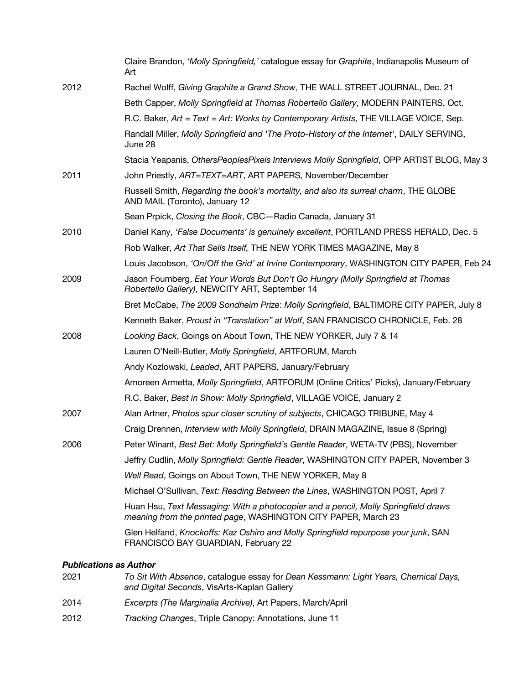|      | Claire Brandon, 'Molly Springfield,' catalogue essay for Graphite, Indianapolis Museum of<br>Art                                                     |
|------|------------------------------------------------------------------------------------------------------------------------------------------------------|
| 2012 | Rachel Wolff, Giving Graphite a Grand Show, THE WALL STREET JOURNAL, Dec. 21                                                                         |
|      | Beth Capper, Molly Springfield at Thomas Robertello Gallery, MODERN PAINTERS, Oct.                                                                   |
|      | R.C. Baker, Art = Text = Art: Works by Contemporary Artists, THE VILLAGE VOICE, Sep.                                                                 |
|      | Randall Miller, Molly Springfield and 'The Proto-History of the Internet', DAILY SERVING,<br>June 28                                                 |
|      | Stacia Yeapanis, OthersPeoplesPixels Interviews Molly Springfield, OPP ARTIST BLOG, May 3                                                            |
| 2011 | John Priestly, ART=TEXT=ART, ART PAPERS, November/December                                                                                           |
|      | Russell Smith, Regarding the book's mortality, and also its surreal charm, THE GLOBE<br>AND MAIL (Toronto), January 12                               |
|      | Sean Prpick, Closing the Book, CBC-Radio Canada, January 31                                                                                          |
| 2010 | Daniel Kany, 'False Documents' is genuinely excellent, PORTLAND PRESS HERALD, Dec. 5                                                                 |
|      | Rob Walker, Art That Sells Itself, THE NEW YORK TIMES MAGAZINE, May 8                                                                                |
|      | Louis Jacobson, 'On/Off the Grid' at Irvine Contemporary, WASHINGTON CITY PAPER, Feb 24                                                              |
| 2009 | Jason Foumberg, Eat Your Words But Don't Go Hungry (Molly Springfield at Thomas<br>Robertello Gallery), NEWCITY ART, September 14                    |
|      | Bret McCabe, The 2009 Sondheim Prize: Molly Springfield, BALTIMORE CITY PAPER, July 8                                                                |
|      | Kenneth Baker, Proust in "Translation" at Wolf, SAN FRANCISCO CHRONICLE, Feb. 28                                                                     |
| 2008 | Looking Back, Goings on About Town, THE NEW YORKER, July 7 & 14                                                                                      |
|      | Lauren O'Neill-Butler, Molly Springfield, ARTFORUM, March                                                                                            |
|      | Andy Kozlowski, Leaded, ART PAPERS, January/February                                                                                                 |
|      | Amoreen Armetta, Molly Springfield, ARTFORUM (Online Critics' Picks), January/February                                                               |
|      | R.C. Baker, Best in Show: Molly Springfield, VILLAGE VOICE, January 2                                                                                |
| 2007 | Alan Artner, Photos spur closer scrutiny of subjects, CHICAGO TRIBUNE, May 4                                                                         |
|      | Craig Drennen, Interview with Molly Springfield, DRAIN MAGAZINE, Issue 8 (Spring)                                                                    |
| 2006 | Peter Winant, Best Bet: Molly Springfield's Gentle Reader, WETA-TV (PBS), November                                                                   |
|      | Jeffry Cudlin, Molly Springfield: Gentle Reader, WASHINGTON CITY PAPER, November 3                                                                   |
|      | Well Read, Goings on About Town, THE NEW YORKER, May 8                                                                                               |
|      | Michael O'Sullivan, Text: Reading Between the Lines, WASHINGTON POST, April 7                                                                        |
|      | Huan Hsu, Text Messaging: With a photocopier and a pencil, Molly Springfield draws<br>meaning from the printed page, WASHINGTON CITY PAPER, March 23 |
|      | Glen Helfand, Knockoffs: Kaz Oshiro and Molly Springfield repurpose your junk, SAN<br>FRANCISCO BAY GUARDIAN, February 22                            |
|      |                                                                                                                                                      |

# *Publications as Author*

| 2021 | To Sit With Absence, catalogue essay for Dean Kessmann: Light Years, Chemical Days,<br>and Digital Seconds, VisArts-Kaplan Gallery |
|------|------------------------------------------------------------------------------------------------------------------------------------|
| 2014 | <i>Excerpts (The Marginalia Archive), Art Papers, March/April</i>                                                                  |

2012 *Tracking Changes*, Triple Canopy: Annotations, June 11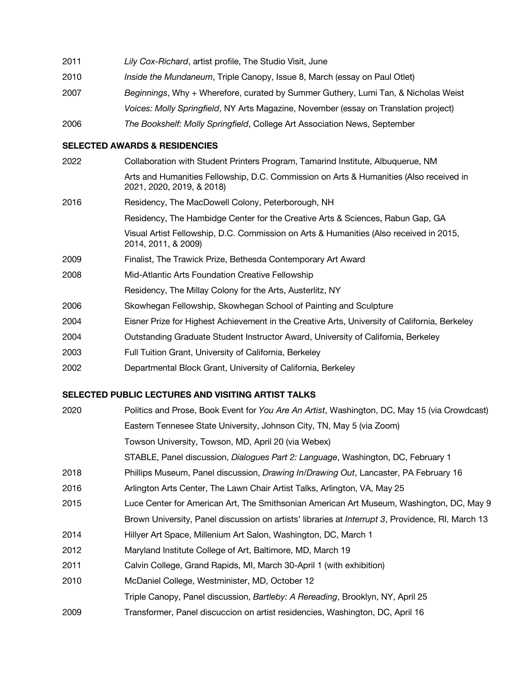| 2011 | Lily Cox-Richard, artist profile, The Studio Visit, June                             |
|------|--------------------------------------------------------------------------------------|
| 2010 | Inside the Mundaneum, Triple Canopy, Issue 8, March (essay on Paul Otlet)            |
| 2007 | Beginnings, Why + Wherefore, curated by Summer Guthery, Lumi Tan, & Nicholas Weist   |
|      | Voices: Molly Springfield, NY Arts Magazine, November (essay on Translation project) |
| 2006 | The Bookshelf: Molly Springfield, College Art Association News, September            |

#### **SELECTED AWARDS & RESIDENCIES**

| 2022 | Collaboration with Student Printers Program, Tamarind Institute, Albuquerue, NM                                     |
|------|---------------------------------------------------------------------------------------------------------------------|
|      | Arts and Humanities Fellowship, D.C. Commission on Arts & Humanities (Also received in<br>2021, 2020, 2019, & 2018) |
| 2016 | Residency, The MacDowell Colony, Peterborough, NH                                                                   |
|      | Residency, The Hambidge Center for the Creative Arts & Sciences, Rabun Gap, GA                                      |
|      | Visual Artist Fellowship, D.C. Commission on Arts & Humanities (Also received in 2015,<br>2014, 2011, & 2009)       |
| 2009 | Finalist, The Trawick Prize, Bethesda Contemporary Art Award                                                        |
| 2008 | Mid-Atlantic Arts Foundation Creative Fellowship                                                                    |
|      | Residency, The Millay Colony for the Arts, Austerlitz, NY                                                           |
| 2006 | Skowhegan Fellowship, Skowhegan School of Painting and Sculpture                                                    |
| 2004 | Eisner Prize for Highest Achievement in the Creative Arts, University of California, Berkeley                       |
| 2004 | Outstanding Graduate Student Instructor Award, University of California, Berkeley                                   |
|      |                                                                                                                     |

- 2003 Full Tuition Grant, University of California, Berkeley
- 2002 Departmental Block Grant, University of California, Berkeley

# **SELECTED PUBLIC LECTURES AND VISITING ARTIST TALKS**

| 2020 | Politics and Prose, Book Event for You Are An Artist, Washington, DC, May 15 (via Crowdcast)              |
|------|-----------------------------------------------------------------------------------------------------------|
|      | Eastern Tennesee State University, Johnson City, TN, May 5 (via Zoom)                                     |
|      | Towson University, Towson, MD, April 20 (via Webex)                                                       |
|      | STABLE, Panel discussion, Dialogues Part 2: Language, Washington, DC, February 1                          |
| 2018 | Phillips Museum, Panel discussion, <i>Drawing In/Drawing Out</i> , Lancaster, PA February 16              |
| 2016 | Arlington Arts Center, The Lawn Chair Artist Talks, Arlington, VA, May 25                                 |
| 2015 | Luce Center for American Art, The Smithsonian American Art Museum, Washington, DC, May 9                  |
|      | Brown University, Panel discussion on artists' libraries at <i>Interrupt 3</i> , Providence, RI, March 13 |
| 2014 | Hillyer Art Space, Millenium Art Salon, Washington, DC, March 1                                           |
| 2012 | Maryland Institute College of Art, Baltimore, MD, March 19                                                |
| 2011 | Calvin College, Grand Rapids, MI, March 30-April 1 (with exhibition)                                      |
| 2010 | McDaniel College, Westminister, MD, October 12                                                            |
|      | Triple Canopy, Panel discussion, Bartleby: A Rereading, Brooklyn, NY, April 25                            |
| 2009 | Transformer, Panel discuccion on artist residencies, Washington, DC, April 16                             |